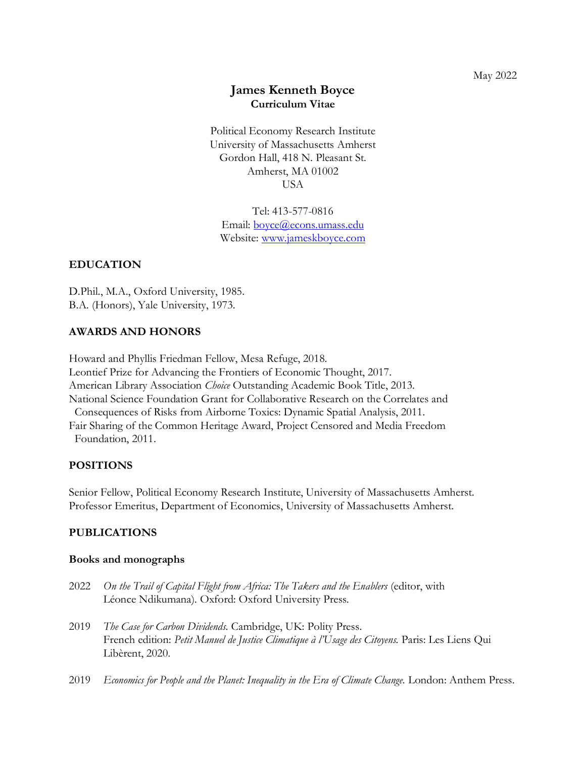# **James Kenneth Boyce Curriculum Vitae**

Political Economy Research Institute University of Massachusetts Amherst Gordon Hall, 418 N. Pleasant St. Amherst, MA 01002 USA

Tel: 413-577-0816 Email: [boyce@econs.umass.edu](mailto:boyce@econs.umass.edu) Website: [www.jameskboyce.com](http://www.jameskboyce.com/)

## **EDUCATION**

D.Phil., M.A., Oxford University, 1985. B.A. (Honors), Yale University, 1973.

## **AWARDS AND HONORS**

Howard and Phyllis Friedman Fellow, Mesa Refuge, 2018. Leontief Prize for Advancing the Frontiers of Economic Thought, 2017. American Library Association *Choice* Outstanding Academic Book Title, 2013. National Science Foundation Grant for Collaborative Research on the Correlates and Consequences of Risks from Airborne Toxics: Dynamic Spatial Analysis, 2011. Fair Sharing of the Common Heritage Award, Project Censored and Media Freedom Foundation, 2011.

## **POSITIONS**

Senior Fellow, Political Economy Research Institute, University of Massachusetts Amherst. Professor Emeritus, Department of Economics, University of Massachusetts Amherst.

## **PUBLICATIONS**

#### **Books and monographs**

- 2022 *On the Trail of Capital Flight from Africa: The Takers and the Enablers (editor, with* Léonce Ndikumana). Oxford: Oxford University Press.
- 2019 *The Case for Carbon Dividends.* Cambridge, UK: Polity Press. French edition: *Petit Manuel de Justice Climatique à l'Usage des Citoyens.* Paris: Les Liens Qui Libèrent, 2020.
- 2019 *Economics for People and the Planet: Inequality in the Era of Climate Change*. London: Anthem Press.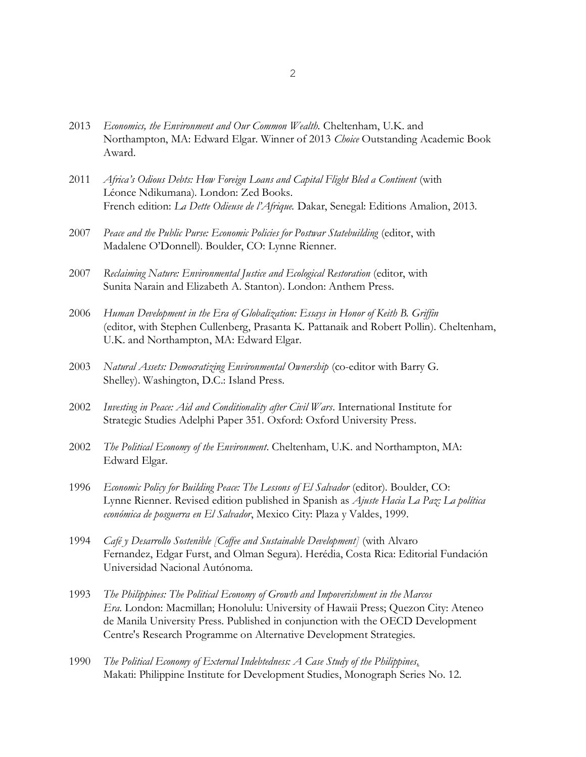- 2013 *Economics, the Environment and Our Common Wealth.* Cheltenham, U.K. and Northampton, MA: Edward Elgar. Winner of 2013 *Choice* Outstanding Academic Book Award.
- 2011 *Africa's Odious Debts: How Foreign Loans and Capital Flight Bled a Continent* (with Léonce Ndikumana). London: Zed Books. French edition: *La Dette Odieuse de l'Afrique.* Dakar, Senegal: Editions Amalion, 2013.
- 2007 *Peace and the Public Purse: Economic Policies for Postwar Statebuilding* (editor, with Madalene O'Donnell). Boulder, CO: Lynne Rienner.
- 2007 Reclaiming Nature: Environmental Justice and Ecological Restoration (editor, with Sunita Narain and Elizabeth A. Stanton). London: Anthem Press.
- 2006 *Human Development in the Era of Globalization: Essays in Honor of Keith B. Griffin* (editor, with Stephen Cullenberg, Prasanta K. Pattanaik and Robert Pollin). Cheltenham, U.K. and Northampton, MA: Edward Elgar.
- 2003 *Natural Assets: Democratizing Environmental Ownership* (co-editor with Barry G. Shelley). Washington, D.C.: Island Press.
- 2002 *Investing in Peace: Aid and Conditionality after Civil Wars*. International Institute for Strategic Studies Adelphi Paper 351. Oxford: Oxford University Press.
- 2002 *The Political Economy of the Environment*. Cheltenham, U.K. and Northampton, MA: Edward Elgar.
- 1996 *Economic Policy for Building Peace: The Lessons of El Salvador* (editor). Boulder, CO: Lynne Rienner. Revised edition published in Spanish as *Ajuste Hacia La Paz: La política económica de posguerra en El Salvador*, Mexico City: Plaza y Valdes, 1999.
- 1994 *Café y Desarrollo Sostenible [Coffee and Sustainable Development]* (with Alvaro Fernandez, Edgar Furst, and Olman Segura). Herédia, Costa Rica: Editorial Fundación Universidad Nacional Autónoma.
- 1993 *The Philippines: The Political Economy of Growth and Impoverishment in the Marcos Era.* London: Macmillan; Honolulu: University of Hawaii Press; Quezon City: Ateneo de Manila University Press. Published in conjunction with the OECD Development Centre's Research Programme on Alternative Development Strategies.
- 1990 *The Political Economy of External Indebtedness: A Case Study of the Philippines*. Makati: Philippine Institute for Development Studies, Monograph Series No. 12.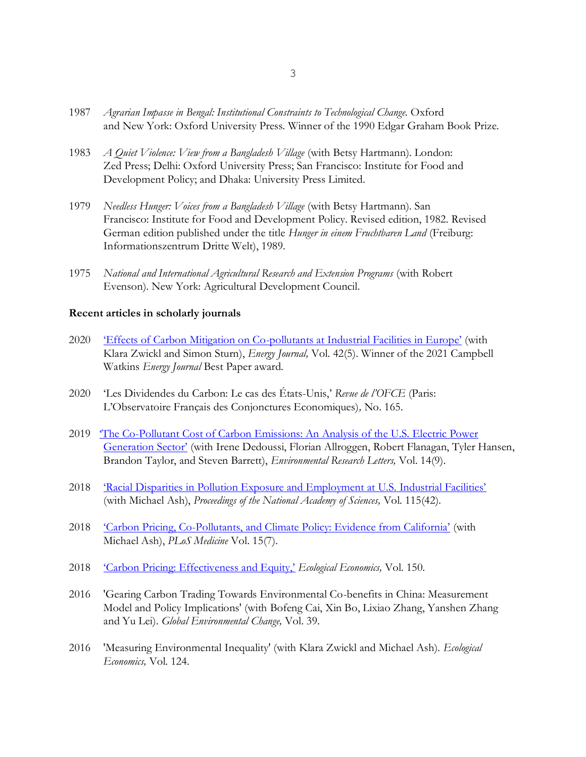- 1987 *Agrarian Impasse in Bengal: Institutional Constraints to Technological Change.* Oxford and New York: Oxford University Press. Winner of the 1990 Edgar Graham Book Prize.
- 1983 *A Quiet Violence: View from a Bangladesh Village* (with Betsy Hartmann). London: Zed Press; Delhi: Oxford University Press; San Francisco: Institute for Food and Development Policy; and Dhaka: University Press Limited.
- 1979 *Needless Hunger: Voices from a Bangladesh Village* (with Betsy Hartmann). San Francisco: Institute for Food and Development Policy. Revised edition, 1982. Revised German edition published under the title *Hunger in einem Fruchtbaren Land* (Freiburg: Informationszentrum Dritte Welt), 1989.
- 1975 *National and International Agricultural Research and Extension Programs* (with Robert Evenson). New York: Agricultural Development Council.

#### **Recent articles in scholarly journals**

- 2020 'Effects of Carbon Mitigation on Co-[pollutants at Industrial Facilities in Europe'](https://static1.squarespace.com/static/5c33dbd69d5abbfa584fc9d2/t/5f8a04c936bb26162d060c91/1602880717109/Zwickl%2C+Sturn+%26+Boyce++Energy+Journal+2020.pdf) (with Klara Zwickl and Simon Sturn), *Energy Journal,* Vol. 42(5). Winner of the 2021 Campbell Watkins *Energy Journal* Best Paper award.
- 2020 'Les Dividendes du Carbon: Le cas des États-Unis,' *Revue de l'OFCE* (Paris: L'Observatoire Français des Conjonctures Economiques)*,* No. 165.
- 2019 '[The Co-Pollutant Cost of Carbon Emissions: An Analysis of the U.S. Electric Power](https://iopscience.iop.org/article/10.1088/1748-9326/ab34e3) [Generation Sector'](https://iopscience.iop.org/article/10.1088/1748-9326/ab34e3) (with Irene Dedoussi, Florian Allroggen, Robert Flanagan, Tyler Hansen, Brandon Taylor, and Steven Barrett), *Environmental Research Letters,* Vol. 14(9).
- 2018 ['Racial Disparities in Pollution Exposure and Employment at U.S. Industrial Facilities'](https://www.pnas.org/content/115/42/10636) (with Michael Ash), *Proceedings of the National Academy of Sciences,* Vol. 115(42).
- 2018 'Carbon Pricing, Co-[Pollutants, and Climate Policy: Evidence from California'](https://journals.plos.org/plosmedicine/article?id=10.1371/journal.pmed.1002610) (with Michael Ash), *PLoS Medicine* Vol. 15(7).
- 2018 ['Carbon Pricing: Effectiveness and Equity,'](https://www.umass.edu/economics/sites/default/files/Boyce%20Ecol%20Econ%202018.pdf) *Ecological Economics,* Vol. 150.
- 2016 'Gearing Carbon Trading Towards Environmental Co-benefits in China: Measurement Model and Policy Implications' (with Bofeng Cai, Xin Bo, Lixiao Zhang, Yanshen Zhang and Yu Lei). *Global Environmental Change,* Vol. 39.
- 2016 'Measuring Environmental Inequality' (with Klara Zwickl and Michael Ash). *Ecological Economics,* Vol. 124.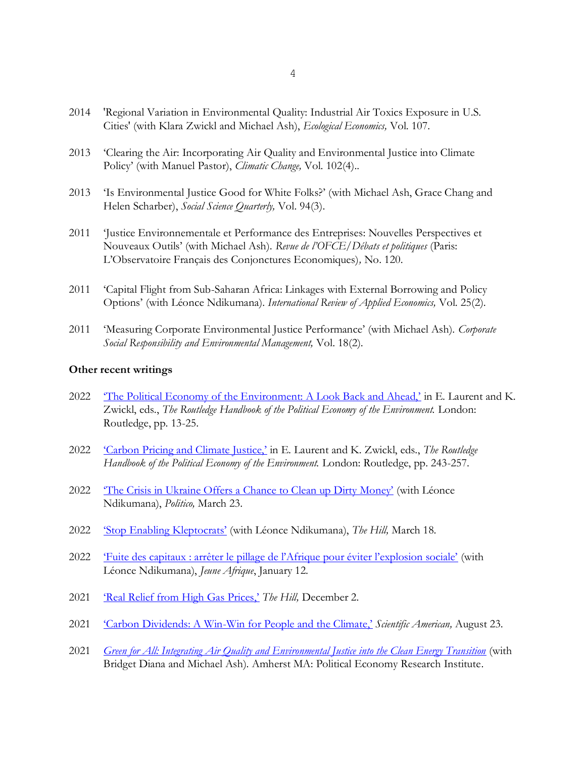- 2014 'Regional Variation in Environmental Quality: Industrial Air Toxics Exposure in U.S. Cities' (with Klara Zwickl and Michael Ash), *Ecological Economics,* Vol. 107.
- 2013 'Clearing the Air: Incorporating Air Quality and Environmental Justice into Climate Policy' (with Manuel Pastor), *Climatic Change,* Vol. 102(4)..
- 2013 'Is Environmental Justice Good for White Folks?' (with Michael Ash, Grace Chang and Helen Scharber), *Social Science Quarterly,* Vol. 94(3).
- 2011 'Justice Environnementale et Performance des Entreprises: Nouvelles Perspectives et Nouveaux Outils' (with Michael Ash). *Revue de l'OFCE/Débats et politiques* (Paris: L'Observatoire Français des Conjonctures Economiques)*,* No. 120.
- 2011 'Capital Flight from Sub-Saharan Africa: Linkages with External Borrowing and Policy Options' (with Léonce Ndikumana). *International Review of Applied Economics,* Vol. 25(2).
- 2011 'Measuring Corporate Environmental Justice Performance' (with Michael Ash). *Corporate Social Responsibility and Environmental Management,* Vol. 18(2).

#### **Other recent writings**

- 2022 The Political Economy of the Environment: A Look Back and Ahead,' in E. Laurent and K. Zwickl, eds., *The Routledge Handbook of the Political Economy of the Environment.* London: Routledge, pp. 13-25.
- 2022 ['Carbon Pricing and Climate Justice,'](https://static1.squarespace.com/static/5c33dbd69d5abbfa584fc9d2/t/61a7c05be5c9a433753e5b77/1638383709336/17.+Carbon+Pricing.pdf) in E. Laurent and K. Zwickl, eds., *The Routledge Handbook of the Political Economy of the Environment.* London: Routledge, pp. 243-257.
- 2022 The Crisis in Ukraine Offers a Chance to Clean up Dirty Money' (with Léonce Ndikumana), *Politico,* March 23.
- 2022 ['Stop Enabling Kleptocrats'](https://thehill.com/blogs/congress-blog/foreign-policy/598721-stop-enabling-kleptocrats-more-must-be-done-to-stem-the/) (with Léonce Ndikumana), *The Hill,* March 18.
- 2022 ['Fuite des capitaux : arrêter le pillage de l'Afrique pour éviter l'explosion sociale'](https://www.jeuneafrique.com/1279612/economie/fuite-des-capitaux-arreter-le-pillage-de-lafrique-pour-eviter-lexplosion-sociale/) (with Léonce Ndikumana), *Jeune Afrique*, January 12.
- 2021 ['Real Relief from High Gas Prices,'](https://thehill.com/opinion/energy-environment/584109-real-relief-from-high-gas-prices/) *The Hill,* December 2.
- 2021 'Carbon Dividends: A Win-[Win for People and the Climate,'](https://www.scientificamerican.com/article/carbon-dividends-a-win-win-for-people-and-for-the-climate/) *Scientific American,* August 23.
- 2021 *[Green for All: Integrating Air Quality and Environmental Justice into the Clean Energy Transition](https://www.peri.umass.edu/publication/item/1408-green-for-all-integrating-air-quality-and-environmental-justice-into-the-clean-energy-transition)* (with Bridget Diana and Michael Ash). Amherst MA: Political Economy Research Institute.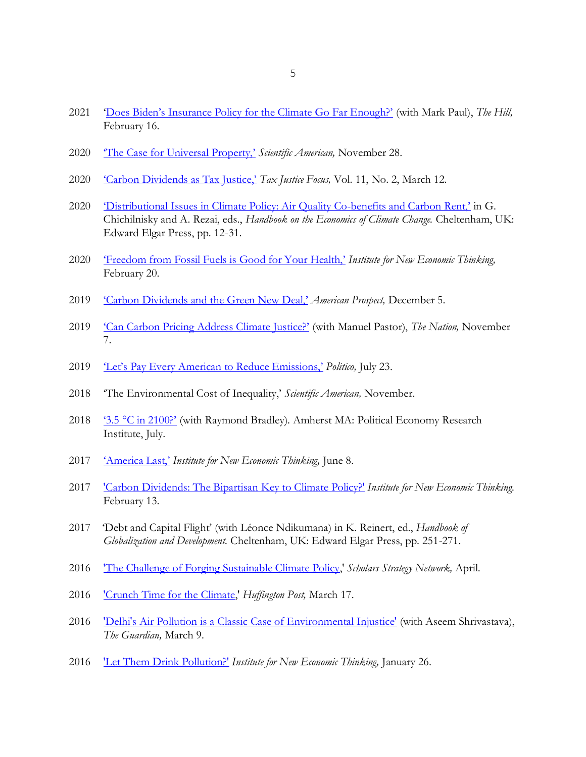- ['Does Biden's Insurance Policy for the Climate Go Far Enough?'](https://thehill.com/opinion/energy-environment/538938-does-bidens-insurance-policy-for-the-climate-go-far-enough) (with Mark Paul), *The Hill,*  February 16.
- ['The Case for Universal Property,'](https://www.scientificamerican.com/article/the-case-for-universal-property/) *Scientific American,* November 28.
- ['Carbon Dividends as Tax Justice,'](https://www.taxjustice.net/wp-content/uploads/2020/03/TJF_2020_11-2_V3.pdf) *Tax Justice Focus,* Vol. 11, No. 2, March 12.
- '[Distributional Issues in Climate Policy: Air Quality Co-](https://static1.squarespace.com/static/5c33dbd69d5abbfa584fc9d2/t/6091897a26cb945536f97034/1620150651254/Boyce+-+Handbook+-+Distributional+Issues.pdf)benefits and Carbon Rent,' in G. Chichilnisky and A. Rezai, eds., *Handbook on the Economics of Climate Change.* Cheltenham, UK: Edward Elgar Press, pp. 12-31.
- ['Freedom from Fossil Fuels is Good for Your Health,'](https://www.ineteconomics.org/perspectives/blog/freedom-from-fossil-fuels-is-good-for-your-health) *Institute for New Economic Thinking,*  February 20.
- ['Carbon Dividends and the Green New](https://prospect.org/greennewdeal/carbon-dividends-and-the-green-new-deal/) Deal,' *American Prospect,* December 5.
- ['Can Carbon Pricing Address Climate Justice?'](https://www.thenation.com/article/carbon-economics-climate-change/) (with Manuel Pastor), *The Nation,* November 7.
- ['Let's Pay Every American to Reduce Emissions,'](https://www.politico.com/agenda/story/2019/07/23/reduce-carbon-emissions-000936) *Politico,* July 23.
- 'The Environmental Cost of Inequality,' *Scientific American,* November.
- 2018 '3.5 °[C in 2100?'](https://www.peri.umass.edu/images/boycebradleyFinal_2018.pdf) (with Raymond Bradley). Amherst MA: Political Economy Research Institute, July.
- ['America Last,'](https://www.ineteconomics.org/perspectives/blog/america-last) *Institute for New Economic Thinking,* June 8.
- ['Carbon Dividends: The Bipartisan Key to Climate Policy?'](https://www.ineteconomics.org/perspectives/blog/carbon-dividends-the-bipartisan-key-to-climate-policy) *Institute for New Economic Thinking.*  February 13.
- 'Debt and Capital Flight' (with Léonce Ndikumana) in K. Reinert, ed., *Handbook of Globalization and Development.* Cheltenham, UK: Edward Elgar Press, pp. 251-271.
- ['The Challenge of Forging Sustainable Climate Policy,](http://www.scholarsstrategynetwork.org/page/challenge-forging-sustainable-climate-policy)' *Scholars Strategy Network,* April.
- ['Crunch Time for the Climate,](http://www.huffingtonpost.com/fixcapitalism/crunch-time-for-the-clima_b_9483380.html)' *Huffington Post,* March 17.
- ['Delhi's Air Pollution is a Classic Case of Environmental Injustice'](http://www.theguardian.com/sustainable-business/2016/mar/09/delhi-india-air-pollution-environmental-injustice-car-tax) (with Aseem Shrivastava), *The Guardian,* March 9.
- ['Let Them Drink Pollution?'](http://ineteconomics.org/ideas-papers/blog/let-them-drink-pollution) *Institute for New Economic Thinking,* January 26.